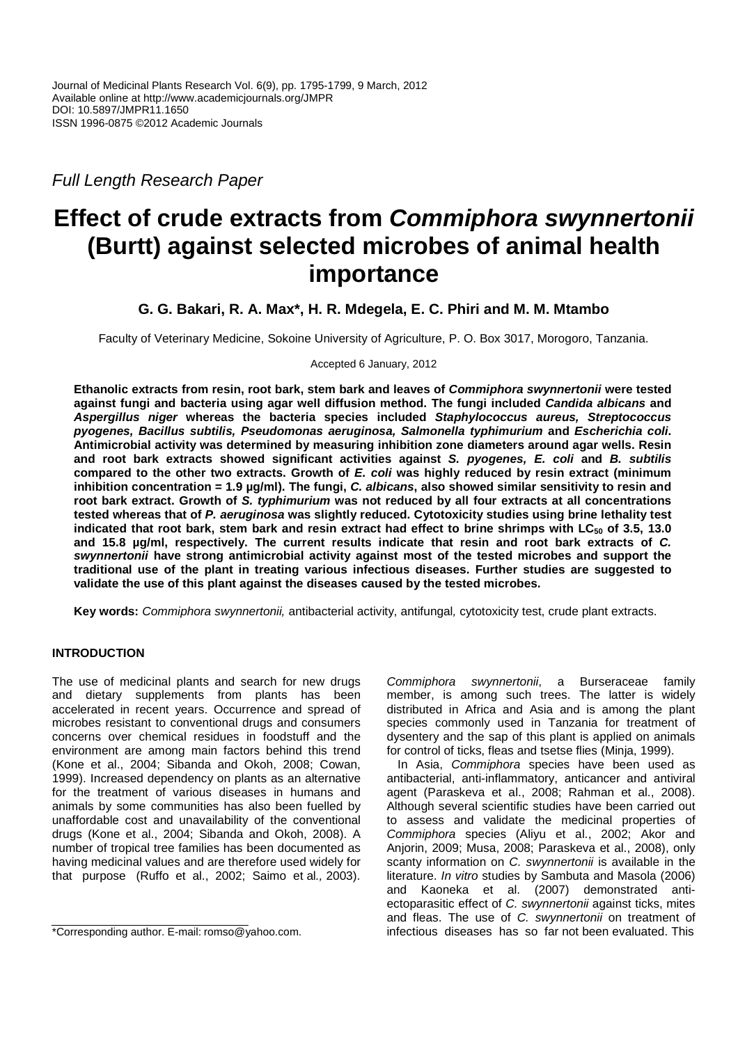Full Length Research Paper

# **Effect of crude extracts from Commiphora swynnertonii (Burtt) against selected microbes of animal health importance**

**G. G. Bakari, R. A. Max\*, H. R. Mdegela, E. C. Phiri and M. M. Mtambo** 

Faculty of Veterinary Medicine, Sokoine University of Agriculture, P. O. Box 3017, Morogoro, Tanzania.

Accepted 6 January, 2012

**Ethanolic extracts from resin, root bark, stem bark and leaves of Commiphora swynnertonii were tested against fungi and bacteria using agar well diffusion method. The fungi included Candida albicans and Aspergillus niger whereas the bacteria species included Staphylococcus aureus, Streptococcus pyogenes, Bacillus subtilis, Pseudomonas aeruginosa, Salmonella typhimurium and Escherichia coli. Antimicrobial activity was determined by measuring inhibition zone diameters around agar wells. Resin and root bark extracts showed significant activities against S. pyogenes, E. coli and B. subtilis compared to the other two extracts. Growth of E. coli was highly reduced by resin extract (minimum inhibition concentration = 1.9 µg/ml). The fungi, C. albicans, also showed similar sensitivity to resin and root bark extract. Growth of S. typhimurium was not reduced by all four extracts at all concentrations tested whereas that of P. aeruginosa was slightly reduced. Cytotoxicity studies using brine lethality test indicated that root bark, stem bark and resin extract had effect to brine shrimps with LC50 of 3.5, 13.0 and 15.8 µg/ml, respectively. The current results indicate that resin and root bark extracts of C. swynnertonii have strong antimicrobial activity against most of the tested microbes and support the traditional use of the plant in treating various infectious diseases. Further studies are suggested to validate the use of this plant against the diseases caused by the tested microbes.** 

**Key words:** Commiphora swynnertonii, antibacterial activity, antifungal, cytotoxicity test, crude plant extracts.

# **INTRODUCTION**

The use of medicinal plants and search for new drugs and dietary supplements from plants has been accelerated in recent years. Occurrence and spread of microbes resistant to conventional drugs and consumers concerns over chemical residues in foodstuff and the environment are among main factors behind this trend (Kone et al., 2004; Sibanda and Okoh, 2008; Cowan, 1999). Increased dependency on plants as an alternative for the treatment of various diseases in humans and animals by some communities has also been fuelled by unaffordable cost and unavailability of the conventional drugs (Kone et al., 2004; Sibanda and Okoh, 2008). A number of tropical tree families has been documented as having medicinal values and are therefore used widely for that purpose (Ruffo et al., 2002; Saimo et al., 2003). Commiphora swynnertonii, a Burseraceae family member, is among such trees. The latter is widely distributed in Africa and Asia and is among the plant species commonly used in Tanzania for treatment of dysentery and the sap of this plant is applied on animals for control of ticks, fleas and tsetse flies (Minja, 1999).

In Asia, Commiphora species have been used as antibacterial, anti-inflammatory, anticancer and antiviral agent (Paraskeva et al., 2008; Rahman et al., 2008). Although several scientific studies have been carried out to assess and validate the medicinal properties of Commiphora species (Aliyu et al., 2002; Akor and Anjorin, 2009; Musa, 2008; Paraskeva et al., 2008), only scanty information on C. swynnertonii is available in the literature. In vitro studies by Sambuta and Masola (2006) and Kaoneka et al. (2007) demonstrated antiectoparasitic effect of C. swynnertonii against ticks, mites and fleas. The use of C. swynnertonii on treatment of infectious diseases has so far not been evaluated. This

<sup>\*</sup>Corresponding author. E-mail: romso@yahoo.com.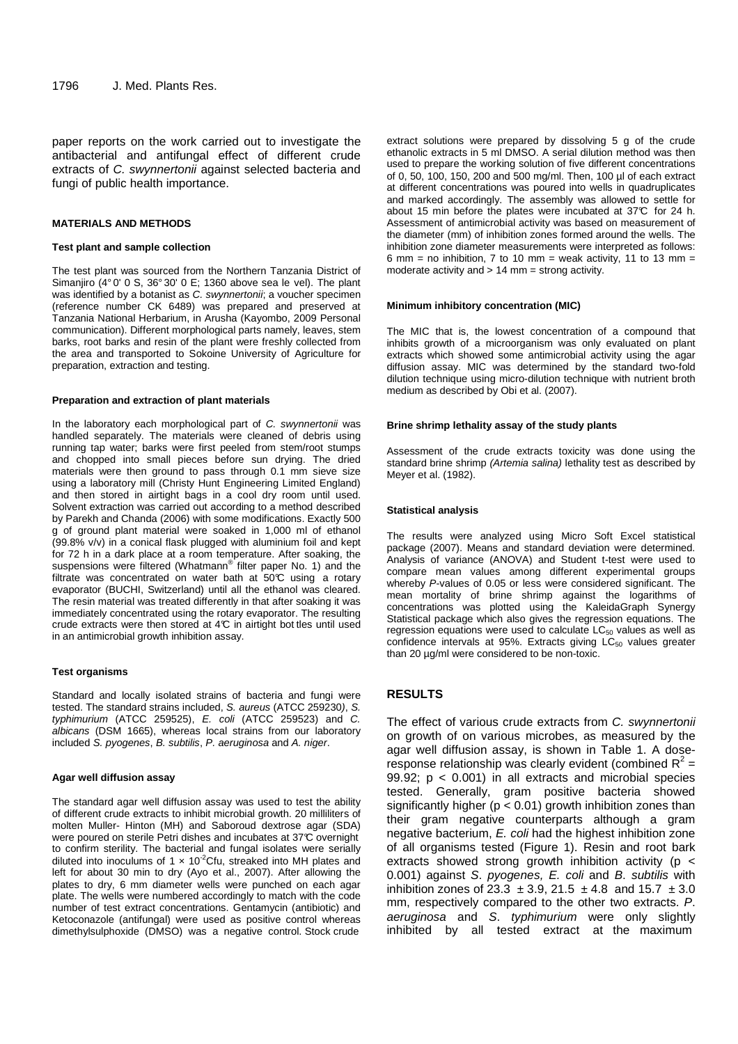paper reports on the work carried out to investigate the antibacterial and antifungal effect of different crude extracts of C. swynnertonii against selected bacteria and fungi of public health importance.

## **MATERIALS AND METHODS**

#### **Test plant and sample collection**

The test plant was sourced from the Northern Tanzania District of Simaniiro (4° 0' 0 S, 36° 30' 0 E; 1360 above sea le vel). The plant was identified by a botanist as C. swynnertonii; a voucher specimen (reference number CK 6489) was prepared and preserved at Tanzania National Herbarium, in Arusha (Kayombo, 2009 Personal communication). Different morphological parts namely, leaves, stem barks, root barks and resin of the plant were freshly collected from the area and transported to Sokoine University of Agriculture for preparation, extraction and testing.

#### **Preparation and extraction of plant materials**

In the laboratory each morphological part of C. swynnertonii was handled separately. The materials were cleaned of debris using running tap water; barks were first peeled from stem/root stumps and chopped into small pieces before sun drying. The dried materials were then ground to pass through 0.1 mm sieve size using a laboratory mill (Christy Hunt Engineering Limited England) and then stored in airtight bags in a cool dry room until used. Solvent extraction was carried out according to a method described by Parekh and Chanda (2006) with some modifications. Exactly 500 g of ground plant material were soaked in 1,000 ml of ethanol (99.8% v/v) in a conical flask plugged with aluminium foil and kept for 72 h in a dark place at a room temperature. After soaking, the suspensions were filtered (Whatmann® filter paper No. 1) and the filtrate was concentrated on water bath at  $50^{\circ}$  using a rotary evaporator (BUCHI, Switzerland) until all the ethanol was cleared. The resin material was treated differently in that after soaking it was immediately concentrated using the rotary evaporator. The resulting crude extracts were then stored at  $4\mathbb{C}$  in airtight bot tles until used in an antimicrobial growth inhibition assay.

#### **Test organisms**

Standard and locally isolated strains of bacteria and fungi were tested. The standard strains included, S. aureus (ATCC 259230), S. typhimurium (ATCC 259525), E. coli (ATCC 259523) and C. albicans (DSM 1665), whereas local strains from our laboratory included S. pyogenes, B. subtilis, P. aeruginosa and A. niger.

#### **Agar well diffusion assay**

The standard agar well diffusion assay was used to test the ability of different crude extracts to inhibit microbial growth. 20 milliliters of molten Muller- Hinton (MH) and Saboroud dextrose agar (SDA) were poured on sterile Petri dishes and incubates at 37°C overnight to confirm sterility. The bacterial and fungal isolates were serially diluted into inoculums of 1  $\times$  10<sup>-2</sup>Cfu, streaked into MH plates and left for about 30 min to dry (Ayo et al., 2007). After allowing the plates to dry, 6 mm diameter wells were punched on each agar plate. The wells were numbered accordingly to match with the code number of test extract concentrations. Gentamycin (antibiotic) and Ketoconazole (antifungal) were used as positive control whereas dimethylsulphoxide (DMSO) was a negative control. Stock crude

extract solutions were prepared by dissolving 5 g of the crude ethanolic extracts in 5 ml DMSO. A serial dilution method was then used to prepare the working solution of five different concentrations of 0, 50, 100, 150, 200 and 500 mg/ml. Then, 100 µl of each extract at different concentrations was poured into wells in quadruplicates and marked accordingly. The assembly was allowed to settle for about 15 min before the plates were incubated at 37°C for 24 h. Assessment of antimicrobial activity was based on measurement of the diameter (mm) of inhibition zones formed around the wells. The inhibition zone diameter measurements were interpreted as follows: 6 mm = no inhibition, 7 to 10 mm = weak activity, 11 to 13 mm = moderate activity and  $> 14$  mm = strong activity.

#### **Minimum inhibitory concentration (MIC)**

The MIC that is, the lowest concentration of a compound that inhibits growth of a microorganism was only evaluated on plant extracts which showed some antimicrobial activity using the agar diffusion assay. MIC was determined by the standard two-fold dilution technique using micro-dilution technique with nutrient broth medium as described by Obi et al. (2007).

### **Brine shrimp lethality assay of the study plants**

Assessment of the crude extracts toxicity was done using the standard brine shrimp (Artemia salina) lethality test as described by Meyer et al. (1982).

#### **Statistical analysis**

The results were analyzed using Micro Soft Excel statistical package (2007). Means and standard deviation were determined. Analysis of variance (ANOVA) and Student t-test were used to compare mean values among different experimental groups whereby P-values of 0.05 or less were considered significant. The mean mortality of brine shrimp against the logarithms of concentrations was plotted using the KaleidaGraph Synergy Statistical package which also gives the regression equations. The regression equations were used to calculate  $LC_{50}$  values as well as confidence intervals at 95%. Extracts giving LC<sub>50</sub> values greater than 20 µg/ml were considered to be non-toxic.

# **RESULTS**

The effect of various crude extracts from C. swynnertonii on growth of on various microbes, as measured by the agar well diffusion assay, is shown in Table 1. A doseresponse relationship was clearly evident (combined  $R^2$  = 99.92;  $p < 0.001$ ) in all extracts and microbial species tested. Generally, gram positive bacteria showed significantly higher ( $p < 0.01$ ) growth inhibition zones than their gram negative counterparts although a gram negative bacterium, E. coli had the highest inhibition zone of all organisms tested (Figure 1). Resin and root bark extracts showed strong growth inhibition activity (p < 0.001) against S. pyogenes, E. coli and B. subtilis with inhibition zones of 23.3  $\pm$  3.9, 21.5  $\pm$  4.8 and 15.7  $\pm$  3.0 mm, respectively compared to the other two extracts. P. aeruginosa and S. typhimurium were only slightly inhibited by all tested extract at the maximum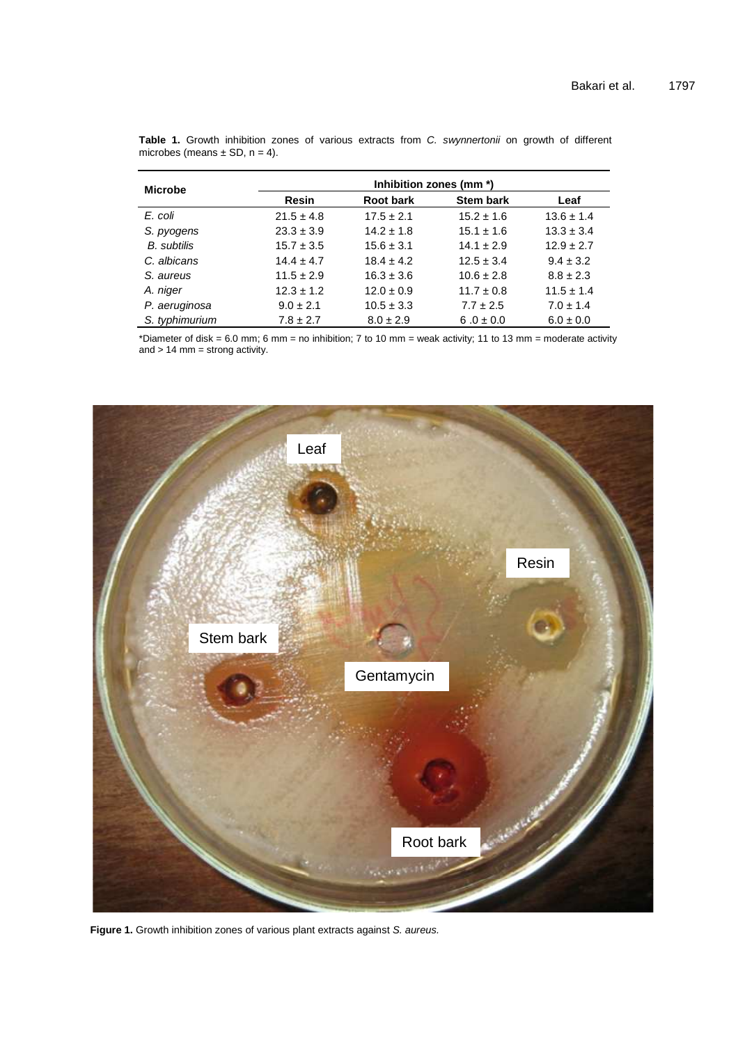| <b>Microbe</b>     | Inhibition zones (mm *) |                  |                  |                |  |  |  |
|--------------------|-------------------------|------------------|------------------|----------------|--|--|--|
|                    | <b>Resin</b>            | <b>Root bark</b> | <b>Stem bark</b> | Leaf           |  |  |  |
| E. coli            | $21.5 \pm 4.8$          | $17.5 \pm 2.1$   | $15.2 \pm 1.6$   | $13.6 \pm 1.4$ |  |  |  |
| S. pyogens         | $23.3 \pm 3.9$          | $14.2 \pm 1.8$   | $15.1 \pm 1.6$   | $13.3 \pm 3.4$ |  |  |  |
| <b>B.</b> subtilis | $15.7 \pm 3.5$          | $15.6 \pm 3.1$   | $14.1 \pm 2.9$   | $12.9 \pm 2.7$ |  |  |  |
| C. albicans        | $14.4 \pm 4.7$          | $18.4 \pm 4.2$   | $12.5 \pm 3.4$   | $9.4 \pm 3.2$  |  |  |  |
| S. aureus          | $11.5 \pm 2.9$          | $16.3 \pm 3.6$   | $10.6 \pm 2.8$   | $8.8 \pm 2.3$  |  |  |  |
| A. niger           | $12.3 \pm 1.2$          | $12.0 \pm 0.9$   | $11.7 \pm 0.8$   | $11.5 \pm 1.4$ |  |  |  |
| P. aeruginosa      | $9.0 \pm 2.1$           | $10.5 \pm 3.3$   | $7.7 \pm 2.5$    | $7.0 \pm 1.4$  |  |  |  |
| S. typhimurium     | $7.8 \pm 2.7$           | $8.0 \pm 2.9$    | $6.0 \pm 0.0$    | $6.0 \pm 0.0$  |  |  |  |

|                                   |  |  |  |  | Table 1. Growth inhibition zones of various extracts from C. swynnertonii on growth of different |  |  |
|-----------------------------------|--|--|--|--|--------------------------------------------------------------------------------------------------|--|--|
| microbes (means $\pm$ SD, n = 4). |  |  |  |  |                                                                                                  |  |  |

\*Diameter of disk = 6.0 mm; 6 mm = no inhibition; 7 to 10 mm = weak activity; 11 to 13 mm = moderate activity and > 14 mm = strong activity.



Figure 1. Growth inhibition zones of various plant extracts against S. aureus.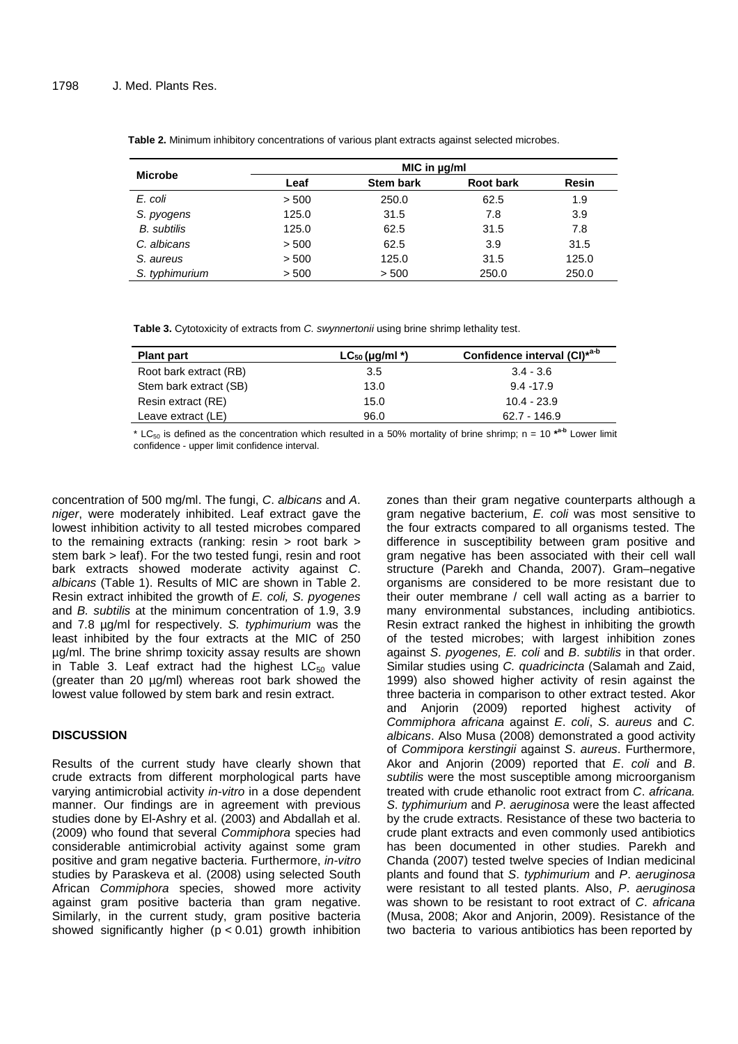|                    | MIC in ug/ml |                  |                  |              |  |  |
|--------------------|--------------|------------------|------------------|--------------|--|--|
| <b>Microbe</b>     | Leaf         | <b>Stem bark</b> | <b>Root bark</b> | <b>Resin</b> |  |  |
| E. coli            | > 500        | 250.0            | 62.5             | 1.9          |  |  |
| S. pyogens         | 125.0        | 31.5             | 7.8              | 3.9          |  |  |
| <b>B.</b> subtilis | 125.0        | 62.5             | 31.5             | 7.8          |  |  |
| C. albicans        | > 500        | 62.5             | 3.9              | 31.5         |  |  |
| S. aureus          | > 500        | 125.0            | 31.5             | 125.0        |  |  |
| S. typhimurium     | > 500        | > 500            | 250.0            | 250.0        |  |  |

**Table 2.** Minimum inhibitory concentrations of various plant extracts against selected microbes.

Table 3. Cytotoxicity of extracts from C. swynnertonii using brine shrimp lethality test.

| <b>Plant part</b>      | $LC_{50}$ (µg/ml *) | Confidence interval (CI) <sup>*a-b</sup> |
|------------------------|---------------------|------------------------------------------|
| Root bark extract (RB) | 3.5                 | $3.4 - 3.6$                              |
| Stem bark extract (SB) | 13.0                | $9.4 - 17.9$                             |
| Resin extract (RE)     | 15.0                | 10.4 - 23.9                              |
| Leave extract (LE)     | 96.0                | $62.7 - 146.9$                           |

 $*$  LC<sub>50</sub> is defined as the concentration which resulted in a 50% mortality of brine shrimp; n = 10  $*$ <sup>a-b</sup> Lower limit confidence - upper limit confidence interval.

concentration of 500 mg/ml. The fungi, C. albicans and A. niger, were moderately inhibited. Leaf extract gave the lowest inhibition activity to all tested microbes compared to the remaining extracts (ranking: resin > root bark > stem bark > leaf). For the two tested fungi, resin and root bark extracts showed moderate activity against C. albicans (Table 1). Results of MIC are shown in Table 2. Resin extract inhibited the growth of E. coli, S. pyogenes and B. subtilis at the minimum concentration of 1.9, 3.9 and 7.8 µg/ml for respectively. S. typhimurium was the least inhibited by the four extracts at the MIC of 250 µg/ml. The brine shrimp toxicity assay results are shown in Table 3. Leaf extract had the highest  $LC_{50}$  value (greater than 20 µg/ml) whereas root bark showed the lowest value followed by stem bark and resin extract.

# **DISCUSSION**

Results of the current study have clearly shown that crude extracts from different morphological parts have varying antimicrobial activity *in-vitro* in a dose dependent manner. Our findings are in agreement with previous studies done by El-Ashry et al. (2003) and Abdallah et al. (2009) who found that several Commiphora species had considerable antimicrobial activity against some gram positive and gram negative bacteria. Furthermore, in-vitro studies by Paraskeva et al. (2008) using selected South African Commiphora species, showed more activity against gram positive bacteria than gram negative. Similarly, in the current study, gram positive bacteria showed significantly higher  $(p < 0.01)$  growth inhibition

zones than their gram negative counterparts although a gram negative bacterium, E. coli was most sensitive to the four extracts compared to all organisms tested. The difference in susceptibility between gram positive and gram negative has been associated with their cell wall structure (Parekh and Chanda, 2007). Gram–negative organisms are considered to be more resistant due to their outer membrane / cell wall acting as a barrier to many environmental substances, including antibiotics. Resin extract ranked the highest in inhibiting the growth of the tested microbes; with largest inhibition zones against S. pyogenes, E. coli and B. subtilis in that order. Similar studies using C. quadricincta (Salamah and Zaid, 1999) also showed higher activity of resin against the three bacteria in comparison to other extract tested. Akor and Anjorin (2009) reported highest activity of Commiphora africana against E. coli, S. aureus and C. albicans. Also Musa (2008) demonstrated a good activity of Commipora kerstingii against S. aureus. Furthermore, Akor and Anjorin (2009) reported that E. coli and B. subtilis were the most susceptible among microorganism treated with crude ethanolic root extract from C. africana. S. typhimurium and P. aeruginosa were the least affected by the crude extracts. Resistance of these two bacteria to crude plant extracts and even commonly used antibiotics has been documented in other studies. Parekh and Chanda (2007) tested twelve species of Indian medicinal plants and found that S. typhimurium and P. aeruginosa were resistant to all tested plants. Also, P. aeruginosa was shown to be resistant to root extract of C. africana (Musa, 2008; Akor and Anjorin, 2009). Resistance of the two bacteria to various antibiotics has been reported by